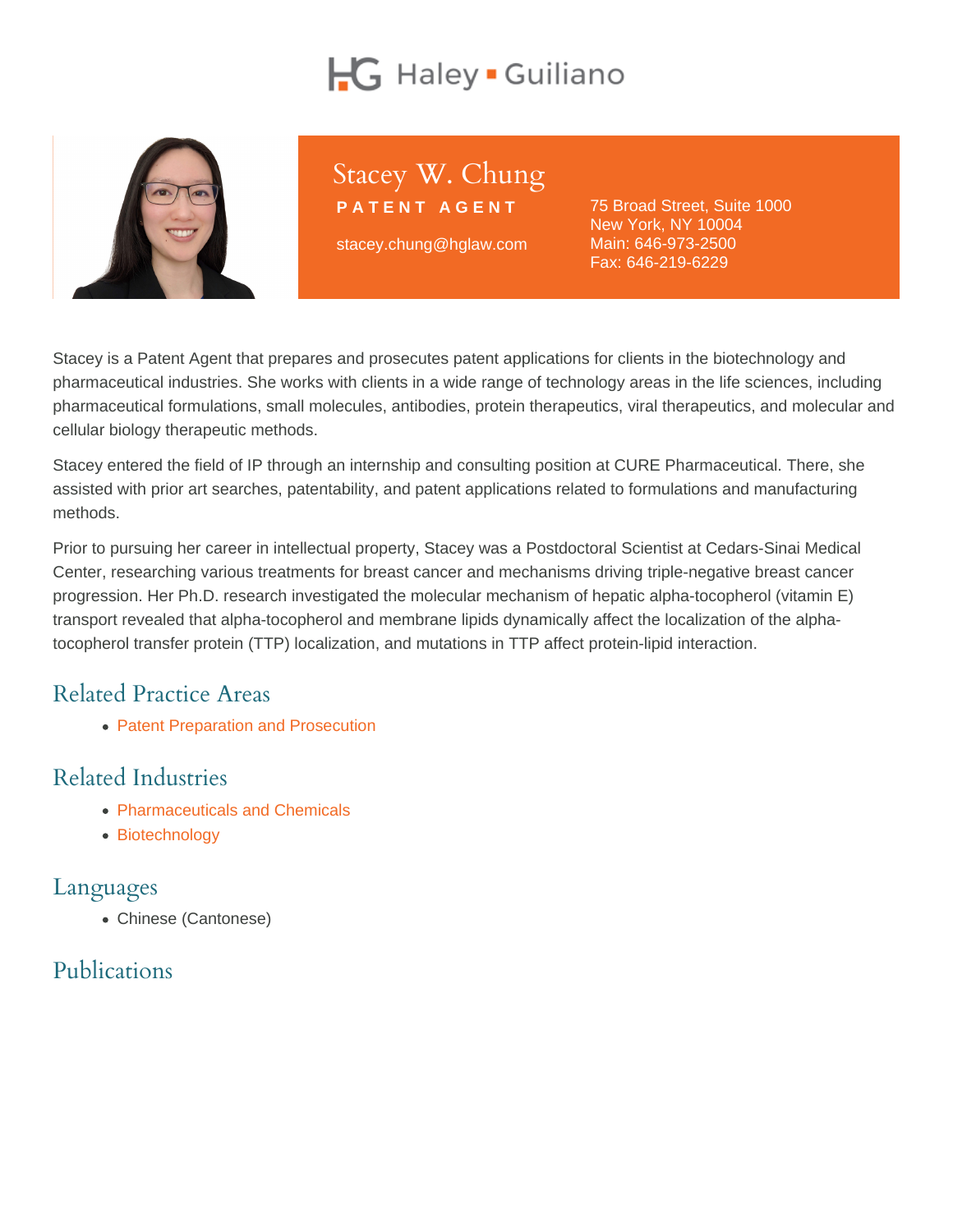# Stacey W. Chung

PATENT AGENT

stacey.chung@hglaw.com

75 Broad Street, Suite 1000 New York, NY 10004 Main: [646-973-2500](tel:+1-646-973-2500) Fax: 646-219-6229

Stacey is a Patent Agent that prepares and prosecutes patent applications for clients in the biotechnology and pharmaceutical industries. She works with clients in a wide range of technology areas in the life sciences, including pharmaceutical formulations, small molecules, antibodies, protein therapeutics, viral therapeutics, and molecular and cellular biology therapeutic methods.

Stacey entered the field of IP through an internship and consulting position at CURE Pharmaceutical. There, she assisted with prior art searches, patentability, and patent applications related to formulations and manufacturing methods.

Prior to pursuing her career in intellectual property, Stacey was a Postdoctoral Scientist at Cedars-Sinai Medical Center, researching various treatments for breast cancer and mechanisms driving triple-negative breast cancer progression. Her Ph.D. research investigated the molecular mechanism of hepatic alpha-tocopherol (vitamin E) transport revealed that alpha-tocopherol and membrane lipids dynamically affect the localization of the alphatocopherol transfer protein (TTP) localization, and mutations in TTP affect protein-lipid interaction.

### Related Practice Areas

[Patent Preparation and Prosecution](https://www.hglaw.com/practice-areas/patents/patent-preparation-prosecution/)

### Related Industries

- [Pharmaceuticals and Chemicals](https://www.hglaw.com/industries/pharmaceuticals-chemicals/)
- [Biotechnology](https://www.hglaw.com/industries/biotechnology/)

#### Languages

Chinese (Cantonese)

# Publications